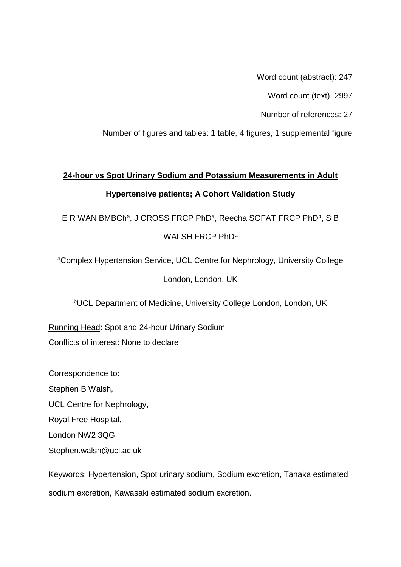Word count (abstract): 247

Word count (text): 2997

Number of references: 27

Number of figures and tables: 1 table, 4 figures, 1 supplemental figure

# **24-hour vs Spot Urinary Sodium and Potassium Measurements in Adult Hypertensive patients; A Cohort Validation Study**

E R WAN BMBCh<sup>a</sup>, J CROSS FRCP PhD<sup>a</sup>, Reecha SOFAT FRCP PhD<sup>b</sup>, S B WALSH FRCP PhD<sup>a</sup>

<sup>a</sup>Complex Hypertension Service, UCL Centre for Nephrology, University College London, London, UK

<sup>b</sup>UCL Department of Medicine, University College London, London, UK

Running Head: Spot and 24-hour Urinary Sodium Conflicts of interest: None to declare

Correspondence to: Stephen B Walsh, UCL Centre for Nephrology, Royal Free Hospital, London NW2 3QG

Stephen.walsh@ucl.ac.uk

Keywords: Hypertension, Spot urinary sodium, Sodium excretion, Tanaka estimated sodium excretion, Kawasaki estimated sodium excretion.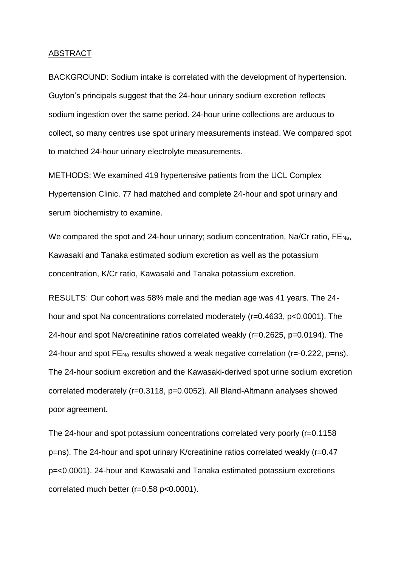# ABSTRACT

BACKGROUND: Sodium intake is correlated with the development of hypertension. Guyton's principals suggest that the 24-hour urinary sodium excretion reflects sodium ingestion over the same period. 24-hour urine collections are arduous to collect, so many centres use spot urinary measurements instead. We compared spot to matched 24-hour urinary electrolyte measurements.

METHODS: We examined 419 hypertensive patients from the UCL Complex Hypertension Clinic. 77 had matched and complete 24-hour and spot urinary and serum biochemistry to examine.

We compared the spot and 24-hour urinary; sodium concentration, Na/Cr ratio, FENa, Kawasaki and Tanaka estimated sodium excretion as well as the potassium concentration, K/Cr ratio, Kawasaki and Tanaka potassium excretion.

RESULTS: Our cohort was 58% male and the median age was 41 years. The 24 hour and spot Na concentrations correlated moderately (r=0.4633, p<0.0001). The 24-hour and spot Na/creatinine ratios correlated weakly (r=0.2625, p=0.0194). The 24-hour and spot  $FE_{Na}$  results showed a weak negative correlation ( $r=-0.222$ ,  $p=ns$ ). The 24-hour sodium excretion and the Kawasaki-derived spot urine sodium excretion correlated moderately (r=0.3118, p=0.0052). All Bland-Altmann analyses showed poor agreement.

The 24-hour and spot potassium concentrations correlated very poorly (r=0.1158 p=ns). The 24-hour and spot urinary K/creatinine ratios correlated weakly (r=0.47 p=<0.0001). 24-hour and Kawasaki and Tanaka estimated potassium excretions correlated much better (r=0.58 p<0.0001).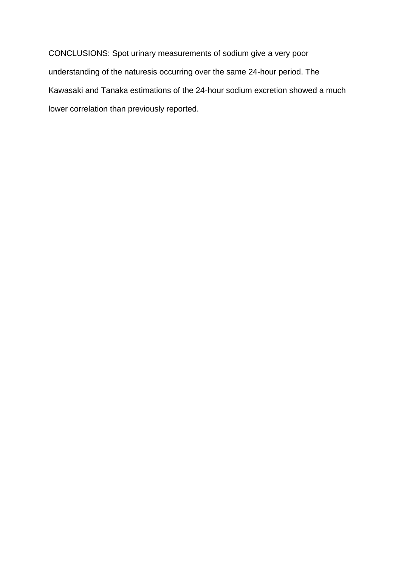CONCLUSIONS: Spot urinary measurements of sodium give a very poor understanding of the naturesis occurring over the same 24-hour period. The Kawasaki and Tanaka estimations of the 24-hour sodium excretion showed a much lower correlation than previously reported.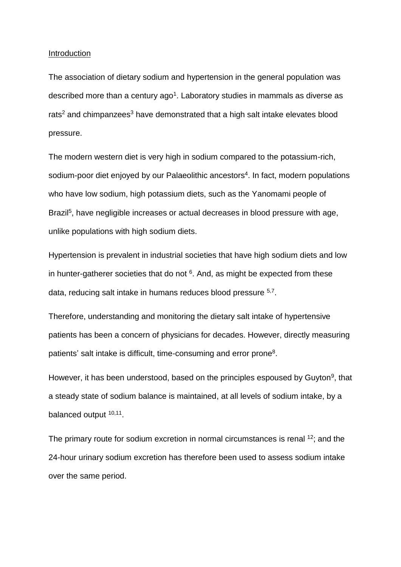#### Introduction

The association of dietary sodium and hypertension in the general population was described more than a century  $ago<sup>1</sup>$ . Laboratory studies in mammals as diverse as rats<sup>2</sup> and chimpanzees<sup>3</sup> have demonstrated that a high salt intake elevates blood pressure.

The modern western diet is very high in sodium compared to the potassium-rich, sodium-poor diet enjoyed by our Palaeolithic ancestors<sup>4</sup>. In fact, modern populations who have low sodium, high potassium diets, such as the Yanomami people of Brazil<sup>5</sup>, have negligible increases or actual decreases in blood pressure with age, unlike populations with high sodium diets.

Hypertension is prevalent in industrial societies that have high sodium diets and low in hunter-gatherer societies that do not  $6$ . And, as might be expected from these data, reducing salt intake in humans reduces blood pressure <sup>5,7</sup>.

Therefore, understanding and monitoring the dietary salt intake of hypertensive patients has been a concern of physicians for decades. However, directly measuring patients' salt intake is difficult, time-consuming and error prone<sup>8</sup>.

However, it has been understood, based on the principles espoused by Guyton<sup>9</sup>, that a steady state of sodium balance is maintained, at all levels of sodium intake, by a balanced output <sup>10,11</sup>.

The primary route for sodium excretion in normal circumstances is renal <sup>12</sup>; and the 24-hour urinary sodium excretion has therefore been used to assess sodium intake over the same period.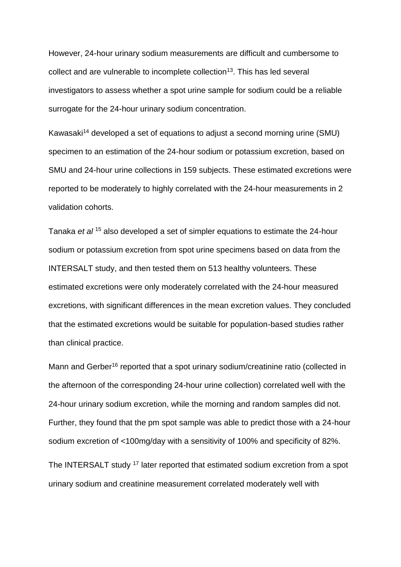However, 24-hour urinary sodium measurements are difficult and cumbersome to collect and are vulnerable to incomplete collection<sup>13</sup>. This has led several investigators to assess whether a spot urine sample for sodium could be a reliable surrogate for the 24-hour urinary sodium concentration.

Kawasaki<sup>14</sup> developed a set of equations to adjust a second morning urine (SMU) specimen to an estimation of the 24-hour sodium or potassium excretion, based on SMU and 24-hour urine collections in 159 subjects. These estimated excretions were reported to be moderately to highly correlated with the 24-hour measurements in 2 validation cohorts.

Tanaka *et al* <sup>15</sup> also developed a set of simpler equations to estimate the 24-hour sodium or potassium excretion from spot urine specimens based on data from the INTERSALT study, and then tested them on 513 healthy volunteers. These estimated excretions were only moderately correlated with the 24-hour measured excretions, with significant differences in the mean excretion values. They concluded that the estimated excretions would be suitable for population-based studies rather than clinical practice.

Mann and Gerber<sup>16</sup> reported that a spot urinary sodium/creatinine ratio (collected in the afternoon of the corresponding 24-hour urine collection) correlated well with the 24-hour urinary sodium excretion, while the morning and random samples did not. Further, they found that the pm spot sample was able to predict those with a 24-hour sodium excretion of <100mg/day with a sensitivity of 100% and specificity of 82%.

The INTERSALT study <sup>17</sup> later reported that estimated sodium excretion from a spot urinary sodium and creatinine measurement correlated moderately well with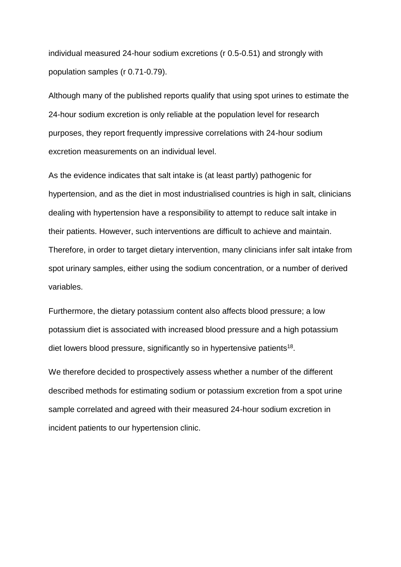individual measured 24-hour sodium excretions (r 0.5-0.51) and strongly with population samples (r 0.71-0.79).

Although many of the published reports qualify that using spot urines to estimate the 24-hour sodium excretion is only reliable at the population level for research purposes, they report frequently impressive correlations with 24-hour sodium excretion measurements on an individual level.

As the evidence indicates that salt intake is (at least partly) pathogenic for hypertension, and as the diet in most industrialised countries is high in salt, clinicians dealing with hypertension have a responsibility to attempt to reduce salt intake in their patients. However, such interventions are difficult to achieve and maintain. Therefore, in order to target dietary intervention, many clinicians infer salt intake from spot urinary samples, either using the sodium concentration, or a number of derived variables.

Furthermore, the dietary potassium content also affects blood pressure; a low potassium diet is associated with increased blood pressure and a high potassium diet lowers blood pressure, significantly so in hypertensive patients<sup>18</sup>.

We therefore decided to prospectively assess whether a number of the different described methods for estimating sodium or potassium excretion from a spot urine sample correlated and agreed with their measured 24-hour sodium excretion in incident patients to our hypertension clinic.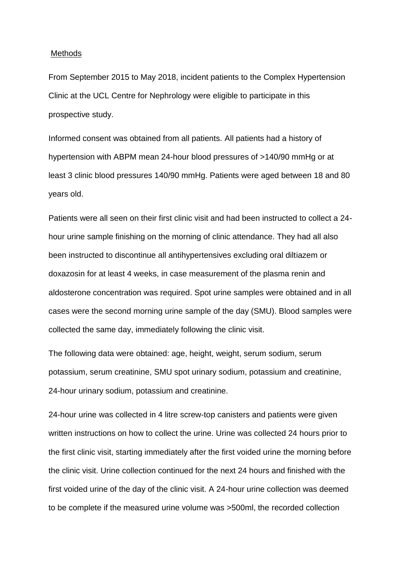## **Methods**

From September 2015 to May 2018, incident patients to the Complex Hypertension Clinic at the UCL Centre for Nephrology were eligible to participate in this prospective study.

Informed consent was obtained from all patients. All patients had a history of hypertension with ABPM mean 24-hour blood pressures of >140/90 mmHg or at least 3 clinic blood pressures 140/90 mmHg. Patients were aged between 18 and 80 years old.

Patients were all seen on their first clinic visit and had been instructed to collect a 24 hour urine sample finishing on the morning of clinic attendance. They had all also been instructed to discontinue all antihypertensives excluding oral diltiazem or doxazosin for at least 4 weeks, in case measurement of the plasma renin and aldosterone concentration was required. Spot urine samples were obtained and in all cases were the second morning urine sample of the day (SMU). Blood samples were collected the same day, immediately following the clinic visit.

The following data were obtained: age, height, weight, serum sodium, serum potassium, serum creatinine, SMU spot urinary sodium, potassium and creatinine, 24-hour urinary sodium, potassium and creatinine.

24-hour urine was collected in 4 litre screw-top canisters and patients were given written instructions on how to collect the urine. Urine was collected 24 hours prior to the first clinic visit, starting immediately after the first voided urine the morning before the clinic visit. Urine collection continued for the next 24 hours and finished with the first voided urine of the day of the clinic visit. A 24-hour urine collection was deemed to be complete if the measured urine volume was >500ml, the recorded collection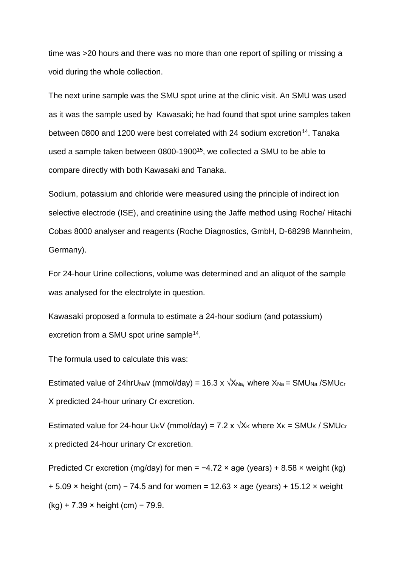time was >20 hours and there was no more than one report of spilling or missing a void during the whole collection.

The next urine sample was the SMU spot urine at the clinic visit. An SMU was used as it was the sample used by Kawasaki; he had found that spot urine samples taken between 0800 and 1200 were best correlated with 24 sodium excretion<sup>14</sup>. Tanaka used a sample taken between 0800-1900<sup>15</sup>, we collected a SMU to be able to compare directly with both Kawasaki and Tanaka.

Sodium, potassium and chloride were measured using the principle of indirect ion selective electrode (ISE), and creatinine using the Jaffe method using Roche/ Hitachi Cobas 8000 analyser and reagents (Roche Diagnostics, GmbH, D-68298 Mannheim, Germany).

For 24-hour Urine collections, volume was determined and an aliquot of the sample was analysed for the electrolyte in question.

Kawasaki proposed a formula to estimate a 24-hour sodium (and potassium) excretion from a SMU spot urine sample<sup>14</sup>.

The formula used to calculate this was:

Estimated value of 24hrU<sub>Na</sub>v (mmol/day) = 16.3 x  $\sqrt{X_{Na}}$ , where  $X_{Na}$  = SMU<sub>Na</sub> /SMU<sub>Cr</sub> X predicted 24-hour urinary Cr excretion.

Estimated value for 24-hour U<sub>K</sub>V (mmol/day) = 7.2 x  $\sqrt{X_K}$  where  $X_K$  = SMU<sub>K</sub> / SMU<sub>Cr</sub> x predicted 24-hour urinary Cr excretion.

Predicted Cr excretion (mg/day) for men =  $-4.72 \times$  age (years) + 8.58  $\times$  weight (kg)  $+ 5.09 \times$  height (cm) – 74.5 and for women = 12.63 x age (years) + 15.12 x weight (kg) + 7.39 × height (cm) − 79.9.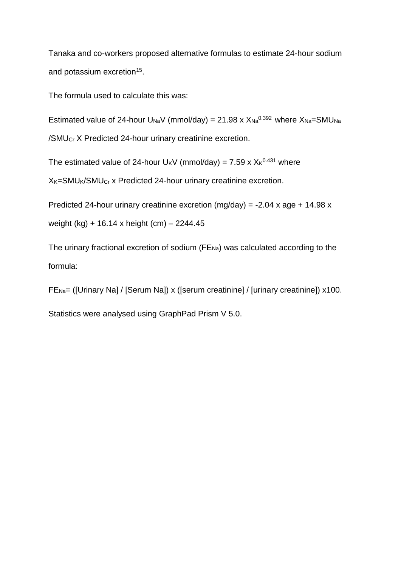Tanaka and co-workers proposed alternative formulas to estimate 24-hour sodium and potassium excretion<sup>15</sup>.

The formula used to calculate this was:

Estimated value of 24-hour U<sub>Na</sub>V (mmol/day) = 21.98 x  $X_{Na}^{0.392}$  where  $X_{Na}$ =SMU<sub>Na</sub> /SMUCr X Predicted 24-hour urinary creatinine excretion.

The estimated value of 24-hour  $U_KV$  (mmol/day) = 7.59 x  $X_K^{0.431}$  where

X<sub>K</sub>=SMU<sub>K</sub>/SMU<sub>Cr</sub> x Predicted 24-hour urinary creatinine excretion.

Predicted 24-hour urinary creatinine excretion  $(mg/day) = -2.04$  x age + 14.98 x weight (kg) + 16.14 x height (cm) – 2244.45

The urinary fractional excretion of sodium ( $FE_{Na}$ ) was calculated according to the formula:

FENa= ([Urinary Na] / [Serum Na]) x ([serum creatinine] / [urinary creatinine]) x100.

Statistics were analysed using GraphPad Prism V 5.0.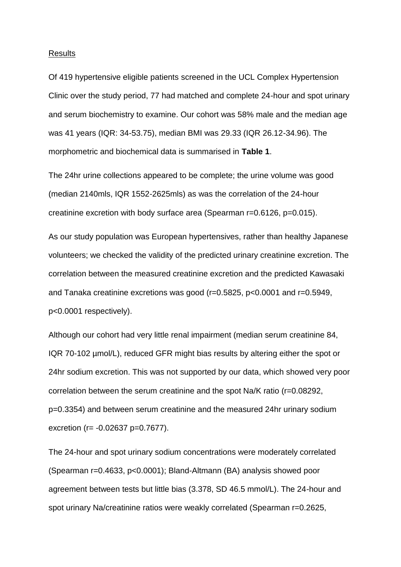## Results

Of 419 hypertensive eligible patients screened in the UCL Complex Hypertension Clinic over the study period, 77 had matched and complete 24-hour and spot urinary and serum biochemistry to examine. Our cohort was 58% male and the median age was 41 years (IQR: 34-53.75), median BMI was 29.33 (IQR 26.12-34.96). The morphometric and biochemical data is summarised in **Table 1**.

The 24hr urine collections appeared to be complete; the urine volume was good (median 2140mls, IQR 1552-2625mls) as was the correlation of the 24-hour creatinine excretion with body surface area (Spearman r=0.6126, p=0.015).

As our study population was European hypertensives, rather than healthy Japanese volunteers; we checked the validity of the predicted urinary creatinine excretion. The correlation between the measured creatinine excretion and the predicted Kawasaki and Tanaka creatinine excretions was good (r=0.5825, p<0.0001 and r=0.5949, p<0.0001 respectively).

Although our cohort had very little renal impairment (median serum creatinine 84, IQR 70-102 µmol/L), reduced GFR might bias results by altering either the spot or 24hr sodium excretion. This was not supported by our data, which showed very poor correlation between the serum creatinine and the spot Na/K ratio (r=0.08292, p=0.3354) and between serum creatinine and the measured 24hr urinary sodium excretion (r= -0.02637 p=0.7677).

The 24-hour and spot urinary sodium concentrations were moderately correlated (Spearman r=0.4633, p<0.0001); Bland-Altmann (BA) analysis showed poor agreement between tests but little bias (3.378, SD 46.5 mmol/L). The 24-hour and spot urinary Na/creatinine ratios were weakly correlated (Spearman r=0.2625,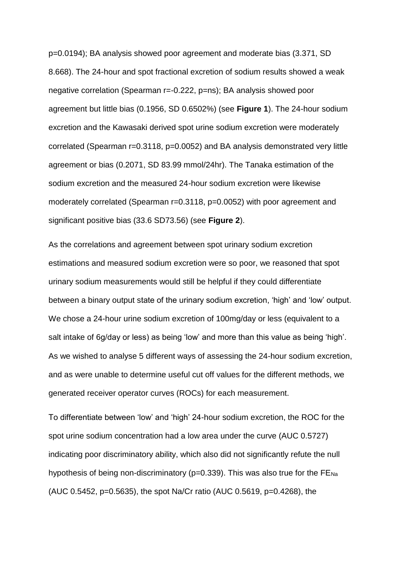p=0.0194); BA analysis showed poor agreement and moderate bias (3.371, SD 8.668). The 24-hour and spot fractional excretion of sodium results showed a weak negative correlation (Spearman r=-0.222, p=ns); BA analysis showed poor agreement but little bias (0.1956, SD 0.6502%) (see **Figure 1**). The 24-hour sodium excretion and the Kawasaki derived spot urine sodium excretion were moderately correlated (Spearman r=0.3118, p=0.0052) and BA analysis demonstrated very little agreement or bias (0.2071, SD 83.99 mmol/24hr). The Tanaka estimation of the sodium excretion and the measured 24-hour sodium excretion were likewise moderately correlated (Spearman r=0.3118, p=0.0052) with poor agreement and significant positive bias (33.6 SD73.56) (see **Figure 2**).

As the correlations and agreement between spot urinary sodium excretion estimations and measured sodium excretion were so poor, we reasoned that spot urinary sodium measurements would still be helpful if they could differentiate between a binary output state of the urinary sodium excretion, 'high' and 'low' output. We chose a 24-hour urine sodium excretion of 100mg/day or less (equivalent to a salt intake of 6g/day or less) as being 'low' and more than this value as being 'high'. As we wished to analyse 5 different ways of assessing the 24-hour sodium excretion, and as were unable to determine useful cut off values for the different methods, we generated receiver operator curves (ROCs) for each measurement.

To differentiate between 'low' and 'high' 24-hour sodium excretion, the ROC for the spot urine sodium concentration had a low area under the curve (AUC 0.5727) indicating poor discriminatory ability, which also did not significantly refute the null hypothesis of being non-discriminatory ( $p=0.339$ ). This was also true for the FE $_{Na}$ (AUC 0.5452, p=0.5635), the spot Na/Cr ratio (AUC 0.5619, p=0.4268), the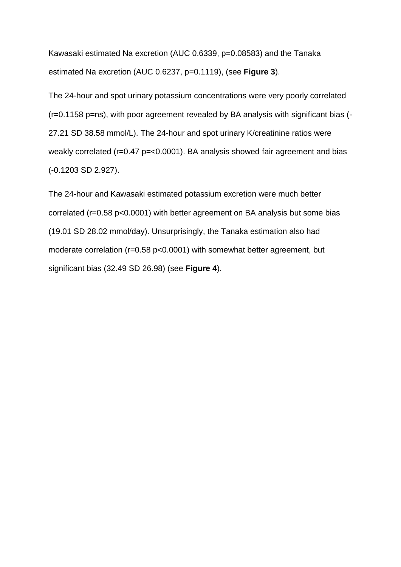Kawasaki estimated Na excretion (AUC 0.6339, p=0.08583) and the Tanaka estimated Na excretion (AUC 0.6237, p=0.1119), (see **Figure 3**).

The 24-hour and spot urinary potassium concentrations were very poorly correlated (r=0.1158 p=ns), with poor agreement revealed by BA analysis with significant bias (- 27.21 SD 38.58 mmol/L). The 24-hour and spot urinary K/creatinine ratios were weakly correlated (r=0.47 p=<0.0001). BA analysis showed fair agreement and bias (-0.1203 SD 2.927).

The 24-hour and Kawasaki estimated potassium excretion were much better correlated (r=0.58 p<0.0001) with better agreement on BA analysis but some bias (19.01 SD 28.02 mmol/day). Unsurprisingly, the Tanaka estimation also had moderate correlation (r=0.58 p<0.0001) with somewhat better agreement, but significant bias (32.49 SD 26.98) (see **Figure 4**).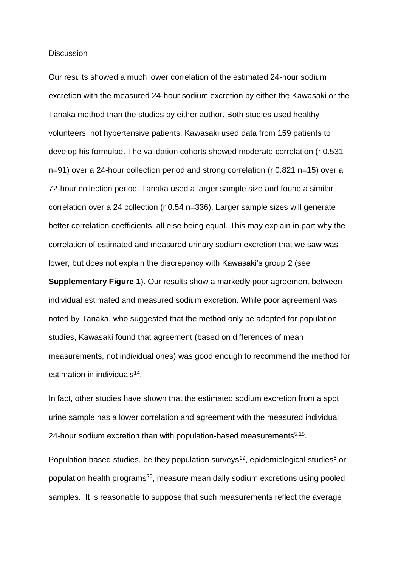#### **Discussion**

Our results showed a much lower correlation of the estimated 24-hour sodium excretion with the measured 24-hour sodium excretion by either the Kawasaki or the Tanaka method than the studies by either author. Both studies used healthy volunteers, not hypertensive patients. Kawasaki used data from 159 patients to develop his formulae. The validation cohorts showed moderate correlation (r 0.531 n=91) over a 24-hour collection period and strong correlation (r 0.821 n=15) over a 72-hour collection period. Tanaka used a larger sample size and found a similar correlation over a 24 collection (r 0.54 n=336). Larger sample sizes will generate better correlation coefficients, all else being equal. This may explain in part why the correlation of estimated and measured urinary sodium excretion that we saw was lower, but does not explain the discrepancy with Kawasaki's group 2 (see

**Supplementary Figure 1**). Our results show a markedly poor agreement between individual estimated and measured sodium excretion. While poor agreement was noted by Tanaka, who suggested that the method only be adopted for population studies, Kawasaki found that agreement (based on differences of mean measurements, not individual ones) was good enough to recommend the method for estimation in individuals<sup>14</sup>.

In fact, other studies have shown that the estimated sodium excretion from a spot urine sample has a lower correlation and agreement with the measured individual 24-hour sodium excretion than with population-based measurements<sup>5,15</sup>.

Population based studies, be they population surveys<sup>19</sup>, epidemiological studies<sup>5</sup> or population health programs<sup>20</sup>, measure mean daily sodium excretions using pooled samples. It is reasonable to suppose that such measurements reflect the average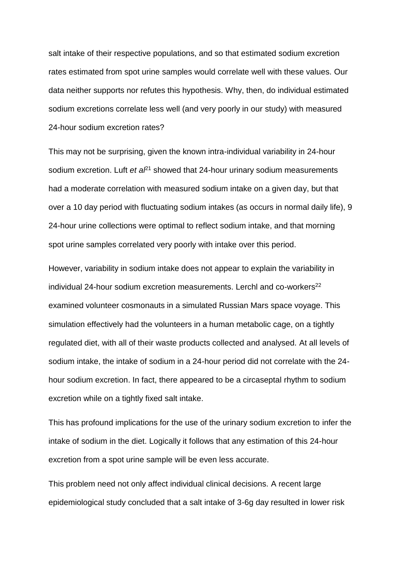salt intake of their respective populations, and so that estimated sodium excretion rates estimated from spot urine samples would correlate well with these values. Our data neither supports nor refutes this hypothesis. Why, then, do individual estimated sodium excretions correlate less well (and very poorly in our study) with measured 24-hour sodium excretion rates?

This may not be surprising, given the known intra-individual variability in 24-hour sodium excretion. Luft *et a*<sup> $21$ </sup> showed that 24-hour urinary sodium measurements had a moderate correlation with measured sodium intake on a given day, but that over a 10 day period with fluctuating sodium intakes (as occurs in normal daily life), 9 24-hour urine collections were optimal to reflect sodium intake, and that morning spot urine samples correlated very poorly with intake over this period.

However, variability in sodium intake does not appear to explain the variability in individual 24-hour sodium excretion measurements. Lerchl and co-workers<sup>22</sup> examined volunteer cosmonauts in a simulated Russian Mars space voyage. This simulation effectively had the volunteers in a human metabolic cage, on a tightly regulated diet, with all of their waste products collected and analysed. At all levels of sodium intake, the intake of sodium in a 24-hour period did not correlate with the 24 hour sodium excretion. In fact, there appeared to be a circaseptal rhythm to sodium excretion while on a tightly fixed salt intake.

This has profound implications for the use of the urinary sodium excretion to infer the intake of sodium in the diet. Logically it follows that any estimation of this 24-hour excretion from a spot urine sample will be even less accurate.

This problem need not only affect individual clinical decisions. A recent large epidemiological study concluded that a salt intake of 3-6g day resulted in lower risk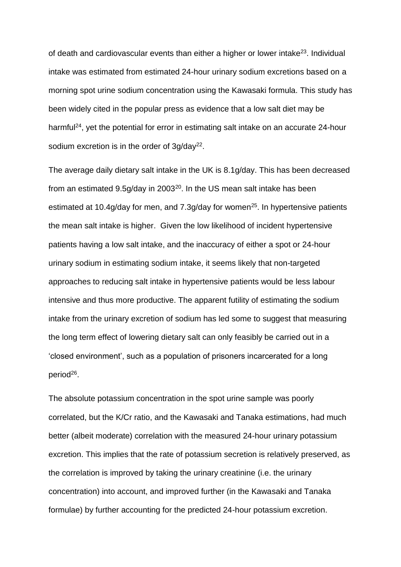of death and cardiovascular events than either a higher or lower intake<sup>23</sup>. Individual intake was estimated from estimated 24-hour urinary sodium excretions based on a morning spot urine sodium concentration using the Kawasaki formula. This study has been widely cited in the popular press as evidence that a low salt diet may be harmful<sup>24</sup>, yet the potential for error in estimating salt intake on an accurate 24-hour sodium excretion is in the order of  $3g/day<sup>22</sup>$ .

The average daily dietary salt intake in the UK is 8.1g/day. This has been decreased from an estimated 9.5g/day in 2003 $^{20}$ . In the US mean salt intake has been estimated at 10.4g/day for men, and 7.3g/day for women<sup>25</sup>. In hypertensive patients the mean salt intake is higher. Given the low likelihood of incident hypertensive patients having a low salt intake, and the inaccuracy of either a spot or 24-hour urinary sodium in estimating sodium intake, it seems likely that non-targeted approaches to reducing salt intake in hypertensive patients would be less labour intensive and thus more productive. The apparent futility of estimating the sodium intake from the urinary excretion of sodium has led some to suggest that measuring the long term effect of lowering dietary salt can only feasibly be carried out in a 'closed environment', such as a population of prisoners incarcerated for a long period<sup>26</sup>.

The absolute potassium concentration in the spot urine sample was poorly correlated, but the K/Cr ratio, and the Kawasaki and Tanaka estimations, had much better (albeit moderate) correlation with the measured 24-hour urinary potassium excretion. This implies that the rate of potassium secretion is relatively preserved, as the correlation is improved by taking the urinary creatinine (i.e. the urinary concentration) into account, and improved further (in the Kawasaki and Tanaka formulae) by further accounting for the predicted 24-hour potassium excretion.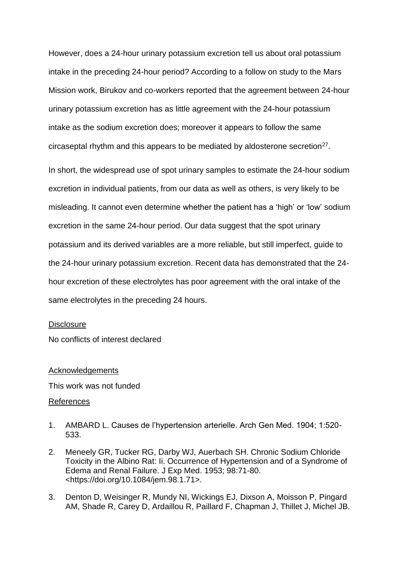However, does a 24-hour urinary potassium excretion tell us about oral potassium intake in the preceding 24-hour period? According to a follow on study to the Mars Mission work, Birukov and co-workers reported that the agreement between 24-hour urinary potassium excretion has as little agreement with the 24-hour potassium intake as the sodium excretion does; moreover it appears to follow the same circaseptal rhythm and this appears to be mediated by aldosterone secretion<sup>27</sup>.

In short, the widespread use of spot urinary samples to estimate the 24-hour sodium excretion in individual patients, from our data as well as others, is very likely to be misleading. It cannot even determine whether the patient has a 'high' or 'low' sodium excretion in the same 24-hour period. Our data suggest that the spot urinary potassium and its derived variables are a more reliable, but still imperfect, guide to the 24-hour urinary potassium excretion. Recent data has demonstrated that the 24 hour excretion of these electrolytes has poor agreement with the oral intake of the same electrolytes in the preceding 24 hours.

#### **Disclosure**

No conflicts of interest declared

#### **Acknowledgements**

This work was not funded

# References

- 1. AMBARD L. Causes de l'hypertension arterielle. Arch Gen Med. 1904; 1:520- 533.
- 2. Meneely GR, Tucker RG, Darby WJ, Auerbach SH. Chronic Sodium Chloride Toxicity in the Albino Rat: Ii. Occurrence of Hypertension and of a Syndrome of Edema and Renal Failure. J Exp Med. 1953; 98:71-80. <https://doi.org/10.1084/jem.98.1.71>.
- 3. Denton D, Weisinger R, Mundy NI, Wickings EJ, Dixson A, Moisson P, Pingard AM, Shade R, Carey D, Ardaillou R, Paillard F, Chapman J, Thillet J, Michel JB.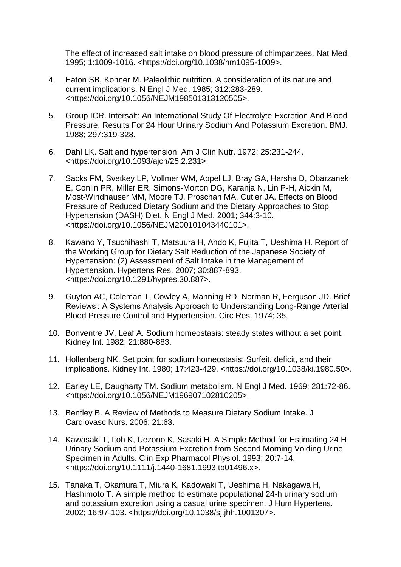The effect of increased salt intake on blood pressure of chimpanzees. Nat Med. 1995; 1:1009-1016. <https://doi.org/10.1038/nm1095-1009>.

- 4. Eaton SB, Konner M. Paleolithic nutrition. A consideration of its nature and current implications. N Engl J Med. 1985; 312:283-289. <https://doi.org/10.1056/NEJM198501313120505>.
- 5. Group ICR. Intersalt: An International Study Of Electrolyte Excretion And Blood Pressure. Results For 24 Hour Urinary Sodium And Potassium Excretion. BMJ. 1988; 297:319-328.
- 6. Dahl LK. Salt and hypertension. Am J Clin Nutr. 1972; 25:231-244. <https://doi.org/10.1093/ajcn/25.2.231>.
- 7. Sacks FM, Svetkey LP, Vollmer WM, Appel LJ, Bray GA, Harsha D, Obarzanek E, Conlin PR, Miller ER, Simons-Morton DG, Karanja N, Lin P-H, Aickin M, Most-Windhauser MM, Moore TJ, Proschan MA, Cutler JA. Effects on Blood Pressure of Reduced Dietary Sodium and the Dietary Approaches to Stop Hypertension (DASH) Diet. N Engl J Med. 2001; 344:3-10. <https://doi.org/10.1056/NEJM200101043440101>.
- 8. Kawano Y, Tsuchihashi T, Matsuura H, Ando K, Fujita T, Ueshima H. Report of the Working Group for Dietary Salt Reduction of the Japanese Society of Hypertension: (2) Assessment of Salt Intake in the Management of Hypertension. Hypertens Res. 2007; 30:887-893. <https://doi.org/10.1291/hypres.30.887>.
- 9. Guyton AC, Coleman T, Cowley A, Manning RD, Norman R, Ferguson JD. Brief Reviews : A Systems Analysis Approach to Understanding Long-Range Arterial Blood Pressure Control and Hypertension. Circ Res. 1974; 35.
- 10. Bonventre JV, Leaf A. Sodium homeostasis: steady states without a set point. Kidney Int. 1982; 21:880-883.
- 11. Hollenberg NK. Set point for sodium homeostasis: Surfeit, deficit, and their implications. Kidney Int. 1980; 17:423-429. <https://doi.org/10.1038/ki.1980.50>.
- 12. Earley LE, Daugharty TM. Sodium metabolism. N Engl J Med. 1969; 281:72-86. <https://doi.org/10.1056/NEJM196907102810205>.
- 13. Bentley B. A Review of Methods to Measure Dietary Sodium Intake. J Cardiovasc Nurs. 2006; 21:63.
- 14. Kawasaki T, Itoh K, Uezono K, Sasaki H. A Simple Method for Estimating 24 H Urinary Sodium and Potassium Excretion from Second Morning Voiding Urine Specimen in Adults. Clin Exp Pharmacol Physiol. 1993; 20:7-14. <https://doi.org/10.1111/j.1440-1681.1993.tb01496.x>.
- 15. Tanaka T, Okamura T, Miura K, Kadowaki T, Ueshima H, Nakagawa H, Hashimoto T. A simple method to estimate populational 24-h urinary sodium and potassium excretion using a casual urine specimen. J Hum Hypertens. 2002; 16:97-103. <https://doi.org/10.1038/sj.jhh.1001307>.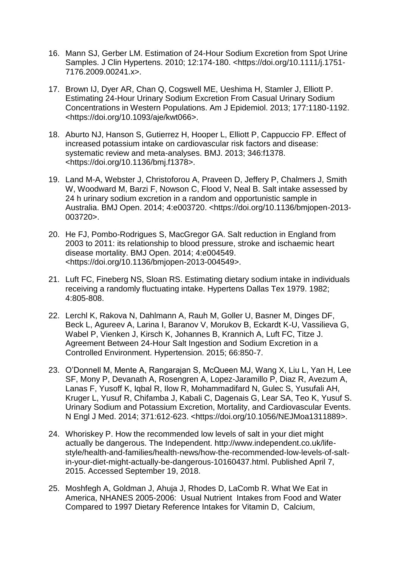- 16. Mann SJ, Gerber LM. Estimation of 24-Hour Sodium Excretion from Spot Urine Samples. J Clin Hypertens. 2010; 12:174-180. <https://doi.org/10.1111/j.1751- 7176.2009.00241.x>.
- 17. Brown IJ, Dyer AR, Chan Q, Cogswell ME, Ueshima H, Stamler J, Elliott P. Estimating 24-Hour Urinary Sodium Excretion From Casual Urinary Sodium Concentrations in Western Populations. Am J Epidemiol. 2013; 177:1180-1192. <https://doi.org/10.1093/aje/kwt066>.
- 18. Aburto NJ, Hanson S, Gutierrez H, Hooper L, Elliott P, Cappuccio FP. Effect of increased potassium intake on cardiovascular risk factors and disease: systematic review and meta-analyses. BMJ. 2013; 346:f1378. <https://doi.org/10.1136/bmj.f1378>.
- 19. Land M-A, Webster J, Christoforou A, Praveen D, Jeffery P, Chalmers J, Smith W, Woodward M, Barzi F, Nowson C, Flood V, Neal B. Salt intake assessed by 24 h urinary sodium excretion in a random and opportunistic sample in Australia. BMJ Open. 2014; 4:e003720. <https://doi.org/10.1136/bmjopen-2013- 003720>.
- 20. He FJ, Pombo-Rodrigues S, MacGregor GA. Salt reduction in England from 2003 to 2011: its relationship to blood pressure, stroke and ischaemic heart disease mortality. BMJ Open. 2014; 4:e004549. <https://doi.org/10.1136/bmjopen-2013-004549>.
- 21. Luft FC, Fineberg NS, Sloan RS. Estimating dietary sodium intake in individuals receiving a randomly fluctuating intake. Hypertens Dallas Tex 1979. 1982; 4:805-808.
- 22. Lerchl K, Rakova N, Dahlmann A, Rauh M, Goller U, Basner M, Dinges DF, Beck L, Agureev A, Larina I, Baranov V, Morukov B, Eckardt K-U, Vassilieva G, Wabel P, Vienken J, Kirsch K, Johannes B, Krannich A, Luft FC, Titze J. Agreement Between 24-Hour Salt Ingestion and Sodium Excretion in a Controlled Environment. Hypertension. 2015; 66:850-7.
- 23. O'Donnell M, Mente A, Rangarajan S, McQueen MJ, Wang X, Liu L, Yan H, Lee SF, Mony P, Devanath A, Rosengren A, Lopez-Jaramillo P, Diaz R, Avezum A, Lanas F, Yusoff K, Iqbal R, Ilow R, Mohammadifard N, Gulec S, Yusufali AH, Kruger L, Yusuf R, Chifamba J, Kabali C, Dagenais G, Lear SA, Teo K, Yusuf S. Urinary Sodium and Potassium Excretion, Mortality, and Cardiovascular Events. N Engl J Med. 2014; 371:612-623. <https://doi.org/10.1056/NEJMoa1311889>.
- 24. Whoriskey P. How the recommended low levels of salt in your diet might actually be dangerous. The Independent. http://www.independent.co.uk/lifestyle/health-and-families/health-news/how-the-recommended-low-levels-of-saltin-your-diet-might-actually-be-dangerous-10160437.html. Published April 7, 2015. Accessed September 19, 2018.
- 25. Moshfegh A, Goldman J, Ahuja J, Rhodes D, LaComb R. What We Eat in America, NHANES 2005-2006: Usual Nutrient Intakes from Food and Water Compared to 1997 Dietary Reference Intakes for Vitamin D, Calcium,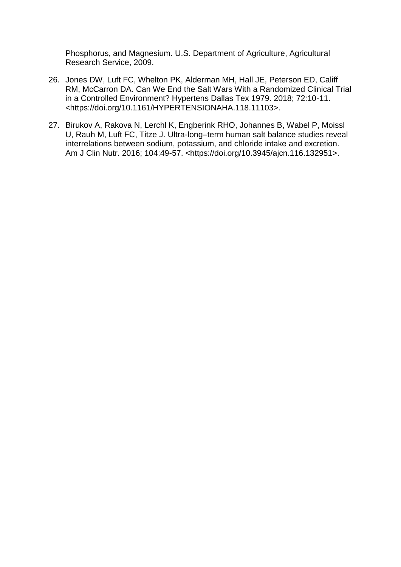Phosphorus, and Magnesium. U.S. Department of Agriculture, Agricultural Research Service, 2009.

- 26. Jones DW, Luft FC, Whelton PK, Alderman MH, Hall JE, Peterson ED, Califf RM, McCarron DA. Can We End the Salt Wars With a Randomized Clinical Trial in a Controlled Environment? Hypertens Dallas Tex 1979. 2018; 72:10-11. <https://doi.org/10.1161/HYPERTENSIONAHA.118.11103>.
- 27. Birukov A, Rakova N, Lerchl K, Engberink RHO, Johannes B, Wabel P, Moissl U, Rauh M, Luft FC, Titze J. Ultra-long–term human salt balance studies reveal interrelations between sodium, potassium, and chloride intake and excretion. Am J Clin Nutr. 2016; 104:49-57. <https://doi.org/10.3945/ajcn.116.132951>.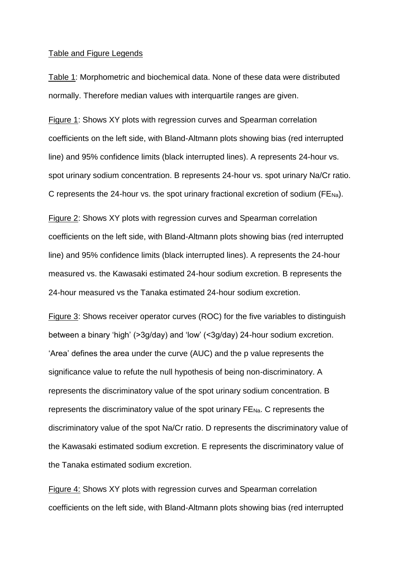#### Table and Figure Legends

Table 1: Morphometric and biochemical data. None of these data were distributed normally. Therefore median values with interquartile ranges are given.

Figure 1: Shows XY plots with regression curves and Spearman correlation coefficients on the left side, with Bland-Altmann plots showing bias (red interrupted line) and 95% confidence limits (black interrupted lines). A represents 24-hour vs. spot urinary sodium concentration. B represents 24-hour vs. spot urinary Na/Cr ratio. C represents the 24-hour vs. the spot urinary fractional excretion of sodium ( $FENa$ ).

Figure 2: Shows XY plots with regression curves and Spearman correlation coefficients on the left side, with Bland-Altmann plots showing bias (red interrupted line) and 95% confidence limits (black interrupted lines). A represents the 24-hour measured vs. the Kawasaki estimated 24-hour sodium excretion. B represents the 24-hour measured vs the Tanaka estimated 24-hour sodium excretion.

Figure 3: Shows receiver operator curves (ROC) for the five variables to distinguish between a binary 'high' (>3g/day) and 'low' (<3g/day) 24-hour sodium excretion. 'Area' defines the area under the curve (AUC) and the p value represents the significance value to refute the null hypothesis of being non-discriminatory. A represents the discriminatory value of the spot urinary sodium concentration. B represents the discriminatory value of the spot urinary FENa. C represents the discriminatory value of the spot Na/Cr ratio. D represents the discriminatory value of the Kawasaki estimated sodium excretion. E represents the discriminatory value of the Tanaka estimated sodium excretion.

Figure 4: Shows XY plots with regression curves and Spearman correlation coefficients on the left side, with Bland-Altmann plots showing bias (red interrupted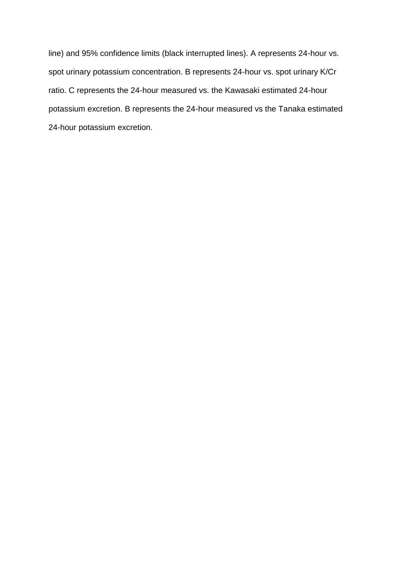line) and 95% confidence limits (black interrupted lines). A represents 24-hour vs. spot urinary potassium concentration. B represents 24-hour vs. spot urinary K/Cr ratio. C represents the 24-hour measured vs. the Kawasaki estimated 24-hour potassium excretion. B represents the 24-hour measured vs the Tanaka estimated 24-hour potassium excretion.